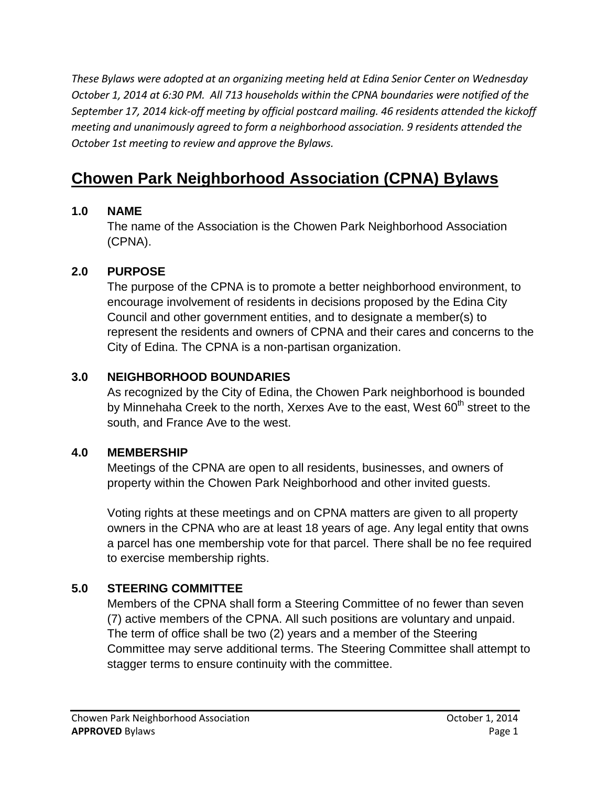*These Bylaws were adopted at an organizing meeting held at Edina Senior Center on Wednesday October 1, 2014 at 6:30 PM. All 713 households within the CPNA boundaries were notified of the September 17, 2014 kick-off meeting by official postcard mailing. 46 residents attended the kickoff meeting and unanimously agreed to form a neighborhood association. 9 residents attended the October 1st meeting to review and approve the Bylaws.*

# **Chowen Park Neighborhood Association (CPNA) Bylaws**

#### **1.0 NAME**

The name of the Association is the Chowen Park Neighborhood Association (CPNA).

#### **2.0 PURPOSE**

The purpose of the CPNA is to promote a better neighborhood environment, to encourage involvement of residents in decisions proposed by the Edina City Council and other government entities, and to designate a member(s) to represent the residents and owners of CPNA and their cares and concerns to the City of Edina. The CPNA is a non-partisan organization.

#### **3.0 NEIGHBORHOOD BOUNDARIES**

As recognized by the City of Edina, the Chowen Park neighborhood is bounded by Minnehaha Creek to the north, Xerxes Ave to the east, West 60<sup>th</sup> street to the south, and France Ave to the west.

#### **4.0 MEMBERSHIP**

Meetings of the CPNA are open to all residents, businesses, and owners of property within the Chowen Park Neighborhood and other invited guests.

Voting rights at these meetings and on CPNA matters are given to all property owners in the CPNA who are at least 18 years of age. Any legal entity that owns a parcel has one membership vote for that parcel. There shall be no fee required to exercise membership rights.

#### **5.0 STEERING COMMITTEE**

Members of the CPNA shall form a Steering Committee of no fewer than seven (7) active members of the CPNA. All such positions are voluntary and unpaid. The term of office shall be two (2) years and a member of the Steering Committee may serve additional terms. The Steering Committee shall attempt to stagger terms to ensure continuity with the committee.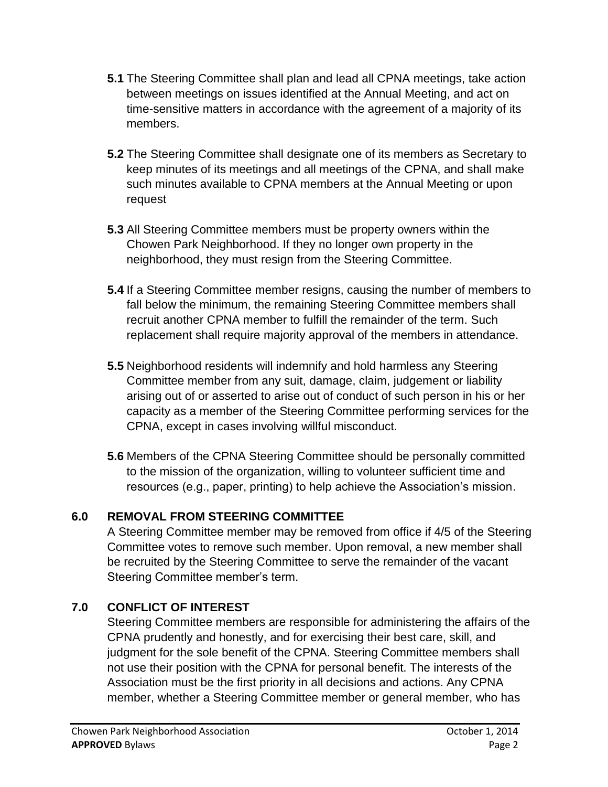- **5.1** The Steering Committee shall plan and lead all CPNA meetings, take action between meetings on issues identified at the Annual Meeting, and act on time-sensitive matters in accordance with the agreement of a majority of its members.
- **5.2** The Steering Committee shall designate one of its members as Secretary to keep minutes of its meetings and all meetings of the CPNA, and shall make such minutes available to CPNA members at the Annual Meeting or upon request
- **5.3** All Steering Committee members must be property owners within the Chowen Park Neighborhood. If they no longer own property in the neighborhood, they must resign from the Steering Committee.
- **5.4** If a Steering Committee member resigns, causing the number of members to fall below the minimum, the remaining Steering Committee members shall recruit another CPNA member to fulfill the remainder of the term. Such replacement shall require majority approval of the members in attendance.
- **5.5** Neighborhood residents will indemnify and hold harmless any Steering Committee member from any suit, damage, claim, judgement or liability arising out of or asserted to arise out of conduct of such person in his or her capacity as a member of the Steering Committee performing services for the CPNA, except in cases involving willful misconduct.
- **5.6** Members of the CPNA Steering Committee should be personally committed to the mission of the organization, willing to volunteer sufficient time and resources (e.g., paper, printing) to help achieve the Association's mission.

## **6.0 REMOVAL FROM STEERING COMMITTEE**

A Steering Committee member may be removed from office if 4/5 of the Steering Committee votes to remove such member. Upon removal, a new member shall be recruited by the Steering Committee to serve the remainder of the vacant Steering Committee member's term.

## **7.0 CONFLICT OF INTEREST**

Steering Committee members are responsible for administering the affairs of the CPNA prudently and honestly, and for exercising their best care, skill, and judgment for the sole benefit of the CPNA. Steering Committee members shall not use their position with the CPNA for personal benefit. The interests of the Association must be the first priority in all decisions and actions. Any CPNA member, whether a Steering Committee member or general member, who has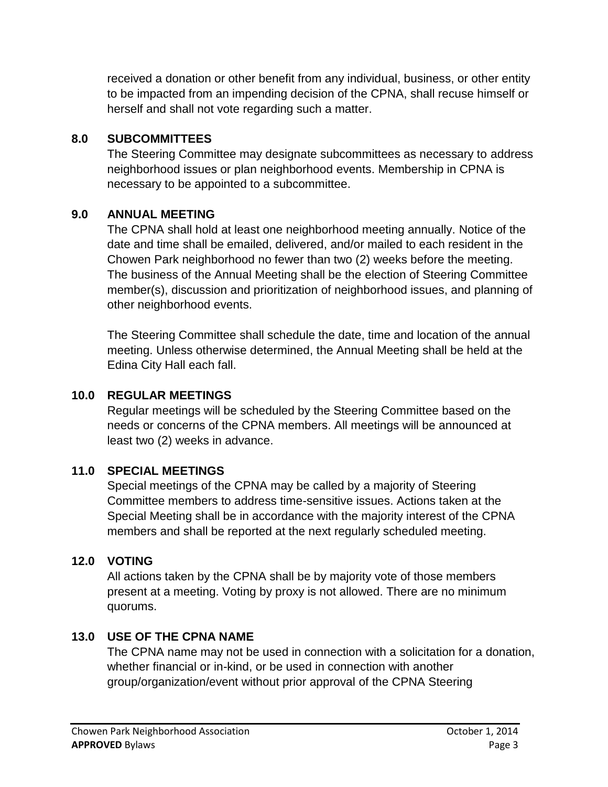received a donation or other benefit from any individual, business, or other entity to be impacted from an impending decision of the CPNA, shall recuse himself or herself and shall not vote regarding such a matter.

#### **8.0 SUBCOMMITTEES**

The Steering Committee may designate subcommittees as necessary to address neighborhood issues or plan neighborhood events. Membership in CPNA is necessary to be appointed to a subcommittee.

#### **9.0 ANNUAL MEETING**

The CPNA shall hold at least one neighborhood meeting annually. Notice of the date and time shall be emailed, delivered, and/or mailed to each resident in the Chowen Park neighborhood no fewer than two (2) weeks before the meeting. The business of the Annual Meeting shall be the election of Steering Committee member(s), discussion and prioritization of neighborhood issues, and planning of other neighborhood events.

The Steering Committee shall schedule the date, time and location of the annual meeting. Unless otherwise determined, the Annual Meeting shall be held at the Edina City Hall each fall.

#### **10.0 REGULAR MEETINGS**

Regular meetings will be scheduled by the Steering Committee based on the needs or concerns of the CPNA members. All meetings will be announced at least two (2) weeks in advance.

#### **11.0 SPECIAL MEETINGS**

Special meetings of the CPNA may be called by a majority of Steering Committee members to address time-sensitive issues. Actions taken at the Special Meeting shall be in accordance with the majority interest of the CPNA members and shall be reported at the next regularly scheduled meeting.

#### **12.0 VOTING**

All actions taken by the CPNA shall be by majority vote of those members present at a meeting. Voting by proxy is not allowed. There are no minimum quorums.

#### **13.0 USE OF THE CPNA NAME**

The CPNA name may not be used in connection with a solicitation for a donation, whether financial or in-kind, or be used in connection with another group/organization/event without prior approval of the CPNA Steering